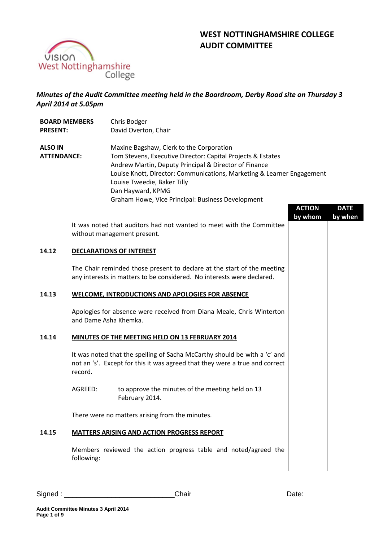



# *Minutes of the Audit Committee meeting held in the Boardroom, Derby Road site on Thursday 3 April 2014 at 5.05pm*

| <b>BOARD MEMBERS</b><br><b>PRESENT:</b> |            | Chris Bodger<br>David Overton, Chair                                                                                                                                                                                                                                                                                                                |                          |                        |
|-----------------------------------------|------------|-----------------------------------------------------------------------------------------------------------------------------------------------------------------------------------------------------------------------------------------------------------------------------------------------------------------------------------------------------|--------------------------|------------------------|
| <b>ALSO IN</b><br><b>ATTENDANCE:</b>    |            | Maxine Bagshaw, Clerk to the Corporation<br>Tom Stevens, Executive Director: Capital Projects & Estates<br>Andrew Martin, Deputy Principal & Director of Finance<br>Louise Knott, Director: Communications, Marketing & Learner Engagement<br>Louise Tweedie, Baker Tilly<br>Dan Hayward, KPMG<br>Graham Howe, Vice Principal: Business Development |                          |                        |
|                                         |            |                                                                                                                                                                                                                                                                                                                                                     | <b>ACTION</b><br>by whom | <b>DATE</b><br>by when |
|                                         |            | It was noted that auditors had not wanted to meet with the Committee<br>without management present.                                                                                                                                                                                                                                                 |                          |                        |
| 14.12                                   |            | <b>DECLARATIONS OF INTEREST</b>                                                                                                                                                                                                                                                                                                                     |                          |                        |
|                                         |            | The Chair reminded those present to declare at the start of the meeting<br>any interests in matters to be considered. No interests were declared.                                                                                                                                                                                                   |                          |                        |
| 14.13                                   |            | <b>WELCOME, INTRODUCTIONS AND APOLOGIES FOR ABSENCE</b>                                                                                                                                                                                                                                                                                             |                          |                        |
|                                         |            | Apologies for absence were received from Diana Meale, Chris Winterton<br>and Dame Asha Khemka.                                                                                                                                                                                                                                                      |                          |                        |
| 14.14                                   |            | MINUTES OF THE MEETING HELD ON 13 FEBRUARY 2014                                                                                                                                                                                                                                                                                                     |                          |                        |
|                                         | record.    | It was noted that the spelling of Sacha McCarthy should be with a 'c' and<br>not an 's'. Except for this it was agreed that they were a true and correct                                                                                                                                                                                            |                          |                        |
|                                         | AGREED:    | to approve the minutes of the meeting held on 13<br>February 2014.                                                                                                                                                                                                                                                                                  |                          |                        |
|                                         |            | There were no matters arising from the minutes.                                                                                                                                                                                                                                                                                                     |                          |                        |
| 14.15                                   |            | <b>MATTERS ARISING AND ACTION PROGRESS REPORT</b>                                                                                                                                                                                                                                                                                                   |                          |                        |
|                                         | following: | Members reviewed the action progress table and noted/agreed the                                                                                                                                                                                                                                                                                     |                          |                        |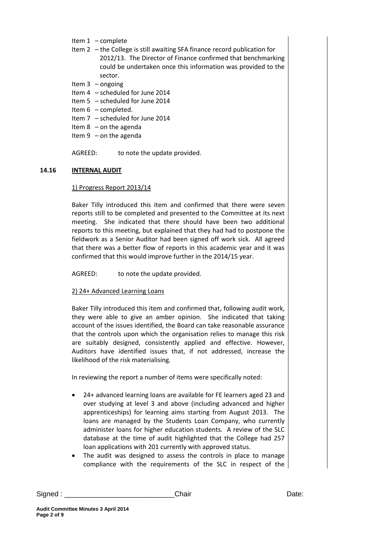- Item 1 complete
- Item 2 the College is still awaiting SFA finance record publication for 2012/13. The Director of Finance confirmed that benchmarking could be undertaken once this information was provided to the sector.
- Item 3 ongoing
- Item 4 scheduled for June 2014
- Item 5 scheduled for June 2014
- Item 6 completed.
- Item 7 scheduled for June 2014
- Item  $8$  on the agenda
- Item  $9$  on the agenda
- AGREED: to note the update provided.

#### **14.16 INTERNAL AUDIT**

#### 1) Progress Report 2013/14

Baker Tilly introduced this item and confirmed that there were seven reports still to be completed and presented to the Committee at its next meeting. She indicated that there should have been two additional reports to this meeting, but explained that they had had to postpone the fieldwork as a Senior Auditor had been signed off work sick. All agreed that there was a better flow of reports in this academic year and it was confirmed that this would improve further in the 2014/15 year.

AGREED: to note the update provided.

### 2) 24+ Advanced Learning Loans

Baker Tilly introduced this item and confirmed that, following audit work, they were able to give an amber opinion. She indicated that taking account of the issues identified, the Board can take reasonable assurance that the controls upon which the organisation relies to manage this risk are suitably designed, consistently applied and effective. However, Auditors have identified issues that, if not addressed, increase the likelihood of the risk materialising.

In reviewing the report a number of items were specifically noted:

- 24+ advanced learning loans are available for FE learners aged 23 and over studying at level 3 and above (including advanced and higher apprenticeships) for learning aims starting from August 2013. The loans are managed by the Students Loan Company, who currently administer loans for higher education students. A review of the SLC database at the time of audit highlighted that the College had 257 loan applications with 201 currently with approved status.
- The audit was designed to assess the controls in place to manage compliance with the requirements of the SLC in respect of the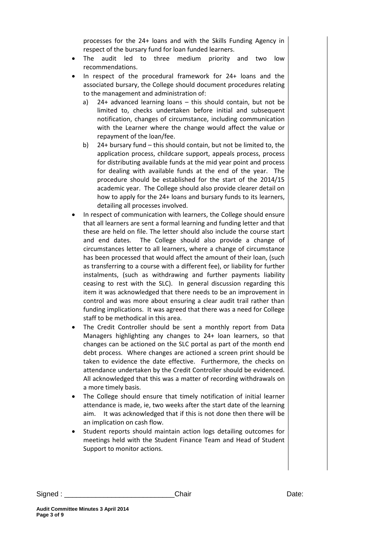processes for the 24+ loans and with the Skills Funding Agency in respect of the bursary fund for loan funded learners.

- The audit led to three medium priority and two low recommendations.
- In respect of the procedural framework for 24+ loans and the associated bursary, the College should document procedures relating to the management and administration of:
	- a) 24+ advanced learning loans this should contain, but not be limited to, checks undertaken before initial and subsequent notification, changes of circumstance, including communication with the Learner where the change would affect the value or repayment of the loan/fee.
	- b) 24+ bursary fund this should contain, but not be limited to, the application process, childcare support, appeals process, process for distributing available funds at the mid year point and process for dealing with available funds at the end of the year. The procedure should be established for the start of the 2014/15 academic year. The College should also provide clearer detail on how to apply for the 24+ loans and bursary funds to its learners, detailing all processes involved.
- In respect of communication with learners, the College should ensure that all learners are sent a formal learning and funding letter and that these are held on file. The letter should also include the course start and end dates. The College should also provide a change of circumstances letter to all learners, where a change of circumstance has been processed that would affect the amount of their loan, (such as transferring to a course with a different fee), or liability for further instalments, (such as withdrawing and further payments liability ceasing to rest with the SLC). In general discussion regarding this item it was acknowledged that there needs to be an improvement in control and was more about ensuring a clear audit trail rather than funding implications. It was agreed that there was a need for College staff to be methodical in this area.
- The Credit Controller should be sent a monthly report from Data Managers highlighting any changes to 24+ loan learners, so that changes can be actioned on the SLC portal as part of the month end debt process. Where changes are actioned a screen print should be taken to evidence the date effective. Furthermore, the checks on attendance undertaken by the Credit Controller should be evidenced. All acknowledged that this was a matter of recording withdrawals on a more timely basis.
- The College should ensure that timely notification of initial learner attendance is made, ie, two weeks after the start date of the learning aim. It was acknowledged that if this is not done then there will be an implication on cash flow.
- Student reports should maintain action logs detailing outcomes for meetings held with the Student Finance Team and Head of Student Support to monitor actions.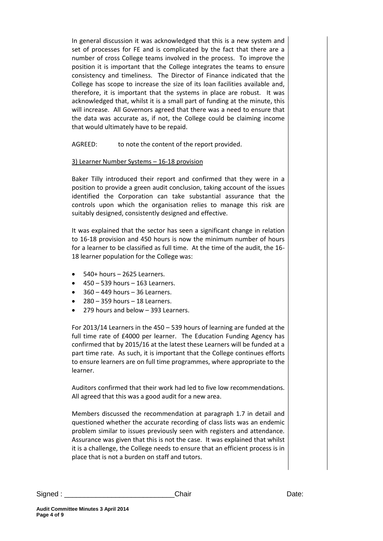In general discussion it was acknowledged that this is a new system and set of processes for FE and is complicated by the fact that there are a number of cross College teams involved in the process. To improve the position it is important that the College integrates the teams to ensure consistency and timeliness. The Director of Finance indicated that the College has scope to increase the size of its loan facilities available and, therefore, it is important that the systems in place are robust. It was acknowledged that, whilst it is a small part of funding at the minute, this will increase. All Governors agreed that there was a need to ensure that the data was accurate as, if not, the College could be claiming income that would ultimately have to be repaid.

AGREED: to note the content of the report provided.

### 3) Learner Number Systems – 16-18 provision

Baker Tilly introduced their report and confirmed that they were in a position to provide a green audit conclusion, taking account of the issues identified the Corporation can take substantial assurance that the controls upon which the organisation relies to manage this risk are suitably designed, consistently designed and effective.

It was explained that the sector has seen a significant change in relation to 16-18 provision and 450 hours is now the minimum number of hours for a learner to be classified as full time. At the time of the audit, the 16- 18 learner population for the College was:

- 540+ hours 2625 Learners.
- 450 539 hours 163 Learners.
- 360 449 hours 36 Learners.
- 280 359 hours 18 Learners.
- 279 hours and below 393 Learners.

For 2013/14 Learners in the 450 – 539 hours of learning are funded at the full time rate of £4000 per learner. The Education Funding Agency has confirmed that by 2015/16 at the latest these Learners will be funded at a part time rate. As such, it is important that the College continues efforts to ensure learners are on full time programmes, where appropriate to the learner.

Auditors confirmed that their work had led to five low recommendations. All agreed that this was a good audit for a new area.

Members discussed the recommendation at paragraph 1.7 in detail and questioned whether the accurate recording of class lists was an endemic problem similar to issues previously seen with registers and attendance. Assurance was given that this is not the case. It was explained that whilst it is a challenge, the College needs to ensure that an efficient process is in place that is not a burden on staff and tutors.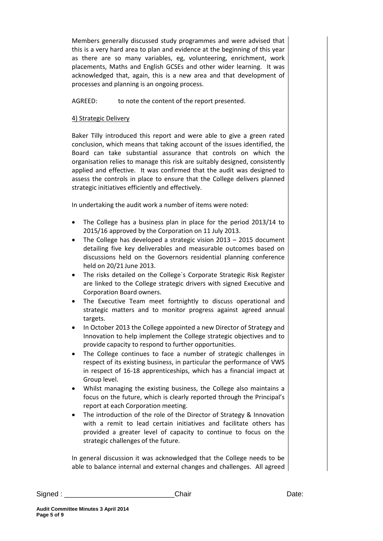Members generally discussed study programmes and were advised that this is a very hard area to plan and evidence at the beginning of this year as there are so many variables, eg, volunteering, enrichment, work placements, Maths and English GCSEs and other wider learning. It was acknowledged that, again, this is a new area and that development of processes and planning is an ongoing process.

# AGREED: to note the content of the report presented.

# 4) Strategic Delivery

Baker Tilly introduced this report and were able to give a green rated conclusion, which means that taking account of the issues identified, the Board can take substantial assurance that controls on which the organisation relies to manage this risk are suitably designed, consistently applied and effective. It was confirmed that the audit was designed to assess the controls in place to ensure that the College delivers planned strategic initiatives efficiently and effectively.

In undertaking the audit work a number of items were noted:

- The College has a business plan in place for the period 2013/14 to 2015/16 approved by the Corporation on 11 July 2013.
- The College has developed a strategic vision 2013 2015 document detailing five key deliverables and measurable outcomes based on discussions held on the Governors residential planning conference held on 20/21 June 2013.
- The risks detailed on the College`s Corporate Strategic Risk Register are linked to the College strategic drivers with signed Executive and Corporation Board owners.
- The Executive Team meet fortnightly to discuss operational and strategic matters and to monitor progress against agreed annual targets.
- In October 2013 the College appointed a new Director of Strategy and Innovation to help implement the College strategic objectives and to provide capacity to respond to further opportunities.
- The College continues to face a number of strategic challenges in respect of its existing business, in particular the performance of VWS in respect of 16-18 apprenticeships, which has a financial impact at Group level.
- Whilst managing the existing business, the College also maintains a focus on the future, which is clearly reported through the Principal's report at each Corporation meeting.
- The introduction of the role of the Director of Strategy & Innovation with a remit to lead certain initiatives and facilitate others has provided a greater level of capacity to continue to focus on the strategic challenges of the future.

In general discussion it was acknowledged that the College needs to be able to balance internal and external changes and challenges. All agreed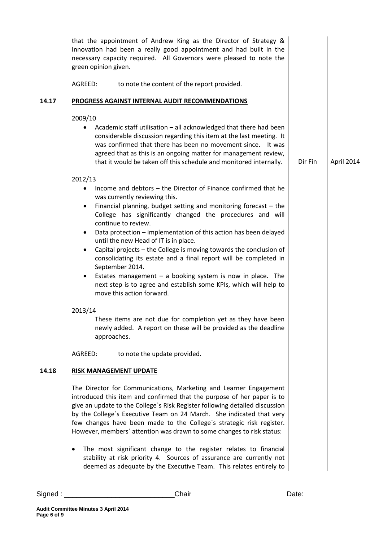|       | that the appointment of Andrew King as the Director of Strategy &<br>Innovation had been a really good appointment and had built in the<br>necessary capacity required. All Governors were pleased to note the<br>green opinion given.<br>AGREED:<br>to note the content of the report provided.                                                                                                                                                                                                                                                                                                                                                                                                                                                        |         |            |
|-------|---------------------------------------------------------------------------------------------------------------------------------------------------------------------------------------------------------------------------------------------------------------------------------------------------------------------------------------------------------------------------------------------------------------------------------------------------------------------------------------------------------------------------------------------------------------------------------------------------------------------------------------------------------------------------------------------------------------------------------------------------------|---------|------------|
| 14.17 | PROGRESS AGAINST INTERNAL AUDIT RECOMMENDATIONS                                                                                                                                                                                                                                                                                                                                                                                                                                                                                                                                                                                                                                                                                                         |         |            |
|       | 2009/10<br>Academic staff utilisation - all acknowledged that there had been<br>considerable discussion regarding this item at the last meeting. It<br>was confirmed that there has been no movement since. It was<br>agreed that as this is an ongoing matter for management review,<br>that it would be taken off this schedule and monitored internally.                                                                                                                                                                                                                                                                                                                                                                                             | Dir Fin | April 2014 |
|       | 2012/13<br>Income and debtors - the Director of Finance confirmed that he<br>was currently reviewing this.<br>Financial planning, budget setting and monitoring forecast $-$ the<br>$\bullet$<br>College has significantly changed the procedures and will<br>continue to review.<br>Data protection - implementation of this action has been delayed<br>until the new Head of IT is in place.<br>Capital projects - the College is moving towards the conclusion of<br>$\bullet$<br>consolidating its estate and a final report will be completed in<br>September 2014.<br>Estates management $-$ a booking system is now in place. The<br>$\bullet$<br>next step is to agree and establish some KPIs, which will help to<br>move this action forward. |         |            |
|       | 2013/14<br>These items are not due for completion yet as they have been<br>newly added. A report on these will be provided as the deadline<br>approaches.                                                                                                                                                                                                                                                                                                                                                                                                                                                                                                                                                                                               |         |            |
|       | AGREED:<br>to note the update provided.                                                                                                                                                                                                                                                                                                                                                                                                                                                                                                                                                                                                                                                                                                                 |         |            |
| 14.18 | <b>RISK MANAGEMENT UPDATE</b>                                                                                                                                                                                                                                                                                                                                                                                                                                                                                                                                                                                                                                                                                                                           |         |            |
|       | The Director for Communications, Marketing and Learner Engagement<br>introduced this item and confirmed that the purpose of her paper is to<br>give an update to the College's Risk Register following detailed discussion<br>by the College's Executive Team on 24 March. She indicated that very<br>few changes have been made to the College's strategic risk register.<br>However, members' attention was drawn to some changes to risk status:<br>The most significant change to the register relates to financial<br>stability at risk priority 4. Sources of assurance are currently not<br>deemed as adequate by the Executive Team. This relates entirely to                                                                                   |         |            |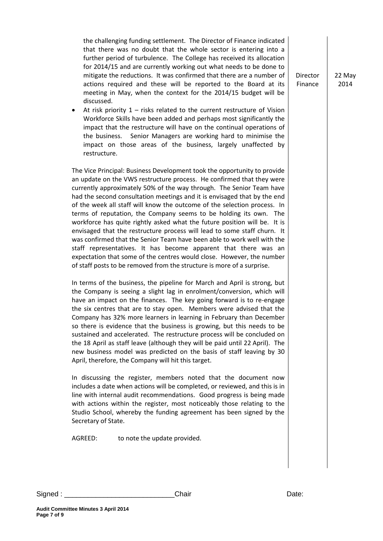the challenging funding settlement. The Director of Finance indicated that there was no doubt that the whole sector is entering into a further period of turbulence. The College has received its allocation for 2014/15 and are currently working out what needs to be done to mitigate the reductions. It was confirmed that there are a number of actions required and these will be reported to the Board at its meeting in May, when the context for the 2014/15 budget will be discussed.

 At risk priority 1 – risks related to the current restructure of Vision Workforce Skills have been added and perhaps most significantly the impact that the restructure will have on the continual operations of the business. Senior Managers are working hard to minimise the impact on those areas of the business, largely unaffected by restructure.

The Vice Principal: Business Development took the opportunity to provide an update on the VWS restructure process. He confirmed that they were currently approximately 50% of the way through. The Senior Team have had the second consultation meetings and it is envisaged that by the end of the week all staff will know the outcome of the selection process. In terms of reputation, the Company seems to be holding its own. The workforce has quite rightly asked what the future position will be. It is envisaged that the restructure process will lead to some staff churn. It was confirmed that the Senior Team have been able to work well with the staff representatives. It has become apparent that there was an expectation that some of the centres would close. However, the number of staff posts to be removed from the structure is more of a surprise.

In terms of the business, the pipeline for March and April is strong, but the Company is seeing a slight lag in enrolment/conversion, which will have an impact on the finances. The key going forward is to re-engage the six centres that are to stay open. Members were advised that the Company has 32% more learners in learning in February than December so there is evidence that the business is growing, but this needs to be sustained and accelerated. The restructure process will be concluded on the 18 April as staff leave (although they will be paid until 22 April). The new business model was predicted on the basis of staff leaving by 30 April, therefore, the Company will hit this target.

In discussing the register, members noted that the document now includes a date when actions will be completed, or reviewed, and this is in line with internal audit recommendations. Good progress is being made with actions within the register, most noticeably those relating to the Studio School, whereby the funding agreement has been signed by the Secretary of State.

AGREED: to note the update provided.

Signed : \_\_\_\_\_\_\_\_\_\_\_\_\_\_\_\_\_\_\_\_\_\_\_\_\_\_\_\_Chair Date:

22 May 2014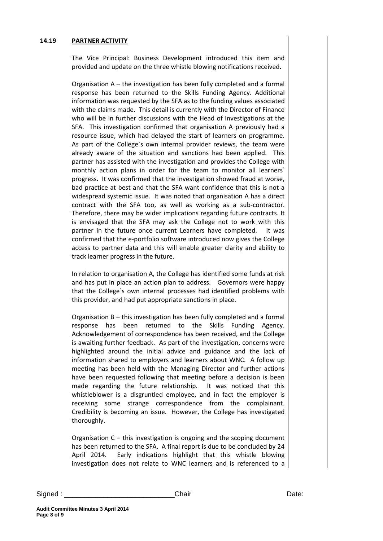#### **14.19 PARTNER ACTIVITY**

The Vice Principal: Business Development introduced this item and provided and update on the three whistle blowing notifications received.

Organisation A – the investigation has been fully completed and a formal response has been returned to the Skills Funding Agency. Additional information was requested by the SFA as to the funding values associated with the claims made. This detail is currently with the Director of Finance who will be in further discussions with the Head of Investigations at the SFA. This investigation confirmed that organisation A previously had a resource issue, which had delayed the start of learners on programme. As part of the College`s own internal provider reviews, the team were already aware of the situation and sanctions had been applied. This partner has assisted with the investigation and provides the College with monthly action plans in order for the team to monitor all learners` progress. It was confirmed that the investigation showed fraud at worse, bad practice at best and that the SFA want confidence that this is not a widespread systemic issue. It was noted that organisation A has a direct contract with the SFA too, as well as working as a sub-contractor. Therefore, there may be wider implications regarding future contracts. It is envisaged that the SFA may ask the College not to work with this partner in the future once current Learners have completed. It was confirmed that the e-portfolio software introduced now gives the College access to partner data and this will enable greater clarity and ability to track learner progress in the future.

In relation to organisation A, the College has identified some funds at risk and has put in place an action plan to address. Governors were happy that the College`s own internal processes had identified problems with this provider, and had put appropriate sanctions in place.

Organisation B – this investigation has been fully completed and a formal response has been returned to the Skills Funding Agency. Acknowledgement of correspondence has been received, and the College is awaiting further feedback. As part of the investigation, concerns were highlighted around the initial advice and guidance and the lack of information shared to employers and learners about WNC. A follow up meeting has been held with the Managing Director and further actions have been requested following that meeting before a decision is been made regarding the future relationship. It was noticed that this whistleblower is a disgruntled employee, and in fact the employer is receiving some strange correspondence from the complainant. Credibility is becoming an issue. However, the College has investigated thoroughly.

Organisation C – this investigation is ongoing and the scoping document has been returned to the SFA. A final report is due to be concluded by 24 April 2014. Early indications highlight that this whistle blowing investigation does not relate to WNC learners and is referenced to a

Signed : \_\_\_\_\_\_\_\_\_\_\_\_\_\_\_\_\_\_\_\_\_\_\_\_\_\_\_\_Chair Date: